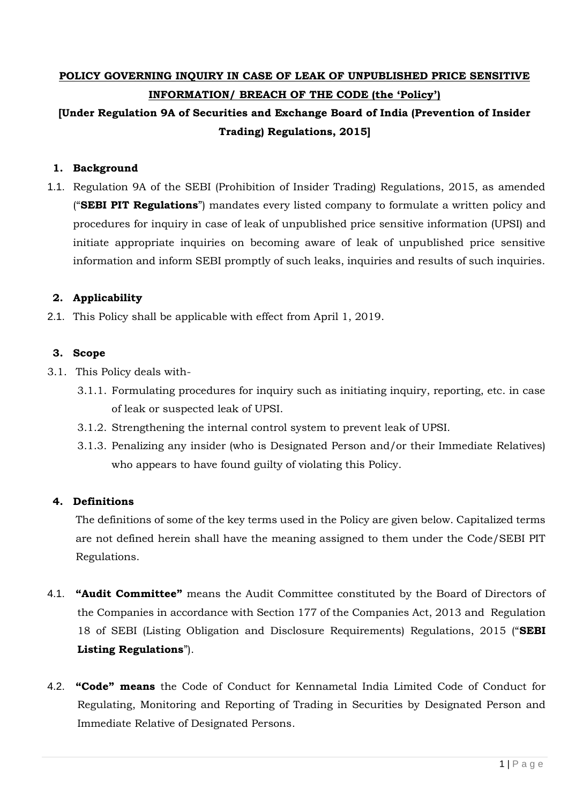# **POLICY GOVERNING INQUIRY IN CASE OF LEAK OF UNPUBLISHED PRICE SENSITIVE INFORMATION/ BREACH OF THE CODE (the 'Policy')**

## **[Under Regulation 9A of Securities and Exchange Board of India (Prevention of Insider Trading) Regulations, 2015]**

## **1. Background**

1.1. Regulation 9A of the SEBI (Prohibition of Insider Trading) Regulations, 2015, as amended ("**SEBI PIT Regulations**") mandates every listed company to formulate a written policy and procedures for inquiry in case of leak of unpublished price sensitive information (UPSI) and initiate appropriate inquiries on becoming aware of leak of unpublished price sensitive information and inform SEBI promptly of such leaks, inquiries and results of such inquiries.

## **2. Applicability**

2.1. This Policy shall be applicable with effect from April 1, 2019.

## **3. Scope**

- 3.1. This Policy deals with-
	- 3.1.1. Formulating procedures for inquiry such as initiating inquiry, reporting, etc. in case of leak or suspected leak of UPSI.
	- 3.1.2. Strengthening the internal control system to prevent leak of UPSI.
	- 3.1.3. Penalizing any insider (who is Designated Person and/or their Immediate Relatives) who appears to have found guilty of violating this Policy.

## **4. Definitions**

The definitions of some of the key terms used in the Policy are given below. Capitalized terms are not defined herein shall have the meaning assigned to them under the Code/SEBI PIT Regulations.

- 4.1. **"Audit Committee"** means the Audit Committee constituted by the Board of Directors of the Companies in accordance with Section 177 of the Companies Act, 2013 and Regulation 18 of SEBI (Listing Obligation and Disclosure Requirements) Regulations, 2015 ("**SEBI Listing Regulations**").
- 4.2. **"Code" means** the Code of Conduct for Kennametal India Limited Code of Conduct for Regulating, Monitoring and Reporting of Trading in Securities by Designated Person and Immediate Relative of Designated Persons.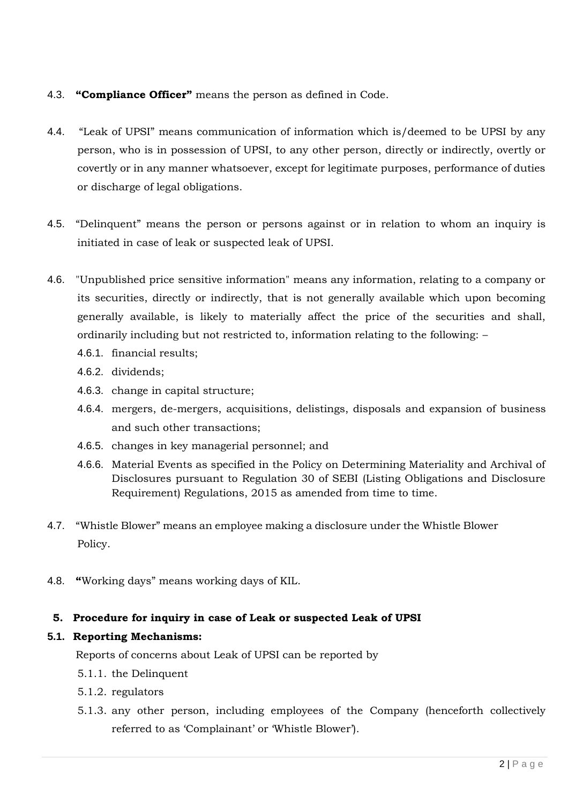## 4.3. **"Compliance Officer"** means the person as defined in Code.

- 4.4. "Leak of UPSI" means communication of information which is/deemed to be UPSI by any person, who is in possession of UPSI, to any other person, directly or indirectly, overtly or covertly or in any manner whatsoever, except for legitimate purposes, performance of duties or discharge of legal obligations.
- 4.5. "Delinquent" means the person or persons against or in relation to whom an inquiry is initiated in case of leak or suspected leak of UPSI.
- 4.6. "Unpublished price sensitive information" means any information, relating to a company or its securities, directly or indirectly, that is not generally available which upon becoming generally available, is likely to materially affect the price of the securities and shall, ordinarily including but not restricted to, information relating to the following: –
	- 4.6.1. financial results;
	- 4.6.2. dividends;
	- 4.6.3. change in capital structure;
	- 4.6.4. mergers, de-mergers, acquisitions, delistings, disposals and expansion of business and such other transactions;
	- 4.6.5. changes in key managerial personnel; and
	- 4.6.6. Material Events as specified in the Policy on Determining Materiality and Archival of Disclosures pursuant to Regulation 30 of SEBI (Listing Obligations and Disclosure Requirement) Regulations, 2015 as amended from time to time.
- 4.7. "Whistle Blower" means an employee making a disclosure under the Whistle Blower Policy.
- 4.8. **"**Working days" means working days of KIL.

## **5. Procedure for inquiry in case of Leak or suspected Leak of UPSI**

## **5.1. Reporting Mechanisms:**

Reports of concerns about Leak of UPSI can be reported by

- 5.1.1. the Delinquent
- 5.1.2. regulators
- 5.1.3. any other person, including employees of the Company (henceforth collectively referred to as 'Complainant' or 'Whistle Blower').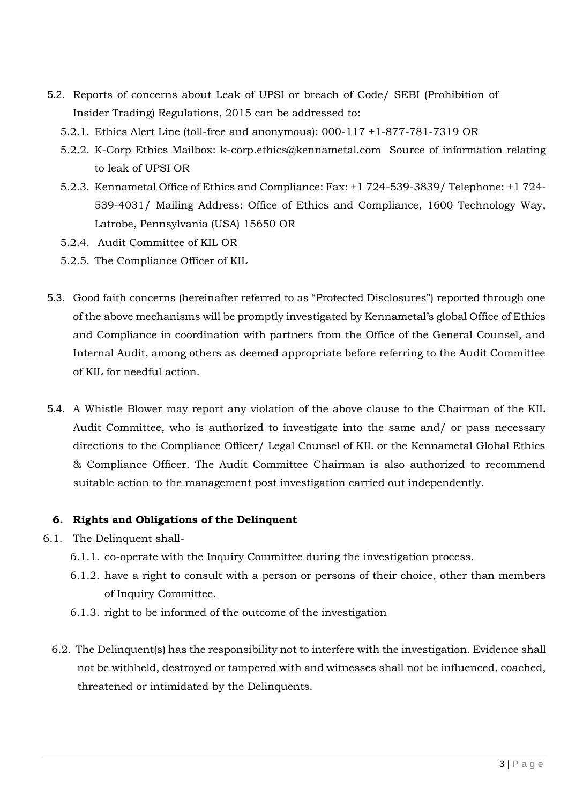- 5.2. Reports of concerns about Leak of UPSI or breach of Code/ SEBI (Prohibition of Insider Trading) Regulations, 2015 can be addressed to:
	- 5.2.1. Ethics Alert Line (toll-free and anonymous): 000-117 +1-877-781-7319 OR
	- 5.2.2. K-Corp Ethics Mailbox: k-corp.ethics@kennametal.com Source of information relating to leak of UPSI OR
	- 5.2.3. Kennametal Office of Ethics and Compliance: Fax: +1 724-539-3839/ Telephone: +1 724- 539-4031/ Mailing Address: Office of Ethics and Compliance, 1600 Technology Way, Latrobe, Pennsylvania (USA) 15650 OR
	- 5.2.4. Audit Committee of KIL OR
	- 5.2.5. The Compliance Officer of KIL
- 5.3. Good faith concerns (hereinafter referred to as "Protected Disclosures") reported through one of the above mechanisms will be promptly investigated by Kennametal's global Office of Ethics and Compliance in coordination with partners from the Office of the General Counsel, and Internal Audit, among others as deemed appropriate before referring to the Audit Committee of KIL for needful action.
- 5.4. A Whistle Blower may report any violation of the above clause to the Chairman of the KIL Audit Committee, who is authorized to investigate into the same and/ or pass necessary directions to the Compliance Officer/ Legal Counsel of KIL or the Kennametal Global Ethics & Compliance Officer. The Audit Committee Chairman is also authorized to recommend suitable action to the management post investigation carried out independently.

## **6. Rights and Obligations of the Delinquent**

- 6.1. The Delinquent shall-
	- 6.1.1. co-operate with the Inquiry Committee during the investigation process.
	- 6.1.2. have a right to consult with a person or persons of their choice, other than members of Inquiry Committee.
	- 6.1.3. right to be informed of the outcome of the investigation
	- 6.2. The Delinquent(s) has the responsibility not to interfere with the investigation. Evidence shall not be withheld, destroyed or tampered with and witnesses shall not be influenced, coached, threatened or intimidated by the Delinquents.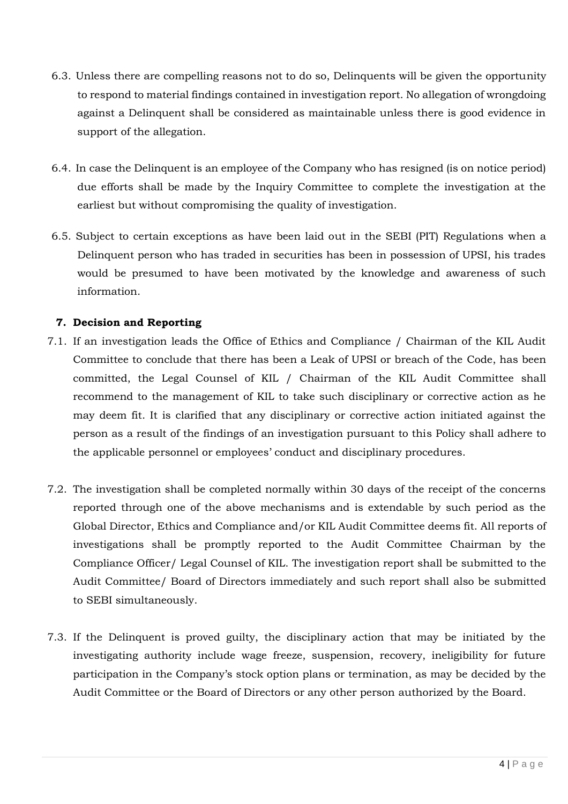- 6.3. Unless there are compelling reasons not to do so, Delinquents will be given the opportunity to respond to material findings contained in investigation report. No allegation of wrongdoing against a Delinquent shall be considered as maintainable unless there is good evidence in support of the allegation.
- 6.4. In case the Delinquent is an employee of the Company who has resigned (is on notice period) due efforts shall be made by the Inquiry Committee to complete the investigation at the earliest but without compromising the quality of investigation.
- 6.5. Subject to certain exceptions as have been laid out in the SEBI (PIT) Regulations when a Delinquent person who has traded in securities has been in possession of UPSI, his trades would be presumed to have been motivated by the knowledge and awareness of such information.

## **7. Decision and Reporting**

- 7.1. If an investigation leads the Office of Ethics and Compliance / Chairman of the KIL Audit Committee to conclude that there has been a Leak of UPSI or breach of the Code, has been committed, the Legal Counsel of KIL / Chairman of the KIL Audit Committee shall recommend to the management of KIL to take such disciplinary or corrective action as he may deem fit. It is clarified that any disciplinary or corrective action initiated against the person as a result of the findings of an investigation pursuant to this Policy shall adhere to the applicable personnel or employees' conduct and disciplinary procedures.
- 7.2. The investigation shall be completed normally within 30 days of the receipt of the concerns reported through one of the above mechanisms and is extendable by such period as the Global Director, Ethics and Compliance and/or KIL Audit Committee deems fit. All reports of investigations shall be promptly reported to the Audit Committee Chairman by the Compliance Officer/ Legal Counsel of KIL. The investigation report shall be submitted to the Audit Committee/ Board of Directors immediately and such report shall also be submitted to SEBI simultaneously.
- 7.3. If the Delinquent is proved guilty, the disciplinary action that may be initiated by the investigating authority include wage freeze, suspension, recovery, ineligibility for future participation in the Company's stock option plans or termination, as may be decided by the Audit Committee or the Board of Directors or any other person authorized by the Board.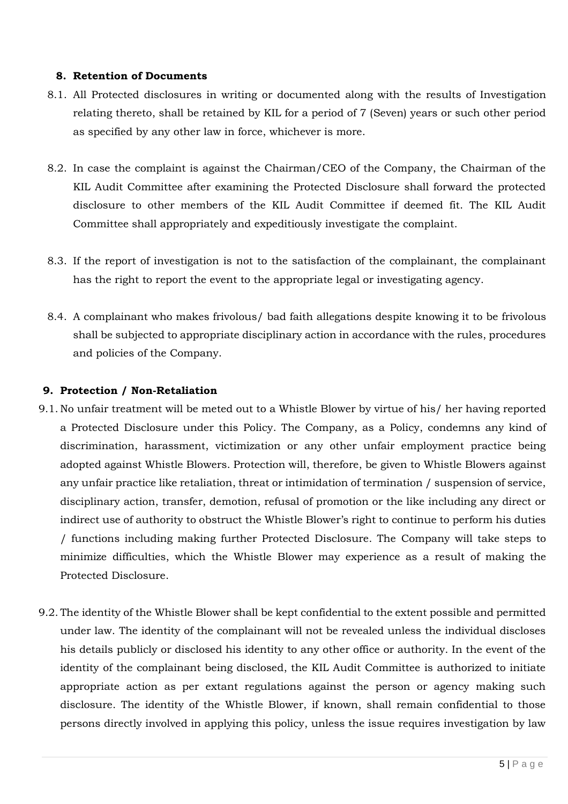## **8. Retention of Documents**

- 8.1. All Protected disclosures in writing or documented along with the results of Investigation relating thereto, shall be retained by KIL for a period of 7 (Seven) years or such other period as specified by any other law in force, whichever is more.
- 8.2. In case the complaint is against the Chairman/CEO of the Company, the Chairman of the KIL Audit Committee after examining the Protected Disclosure shall forward the protected disclosure to other members of the KIL Audit Committee if deemed fit. The KIL Audit Committee shall appropriately and expeditiously investigate the complaint.
- 8.3. If the report of investigation is not to the satisfaction of the complainant, the complainant has the right to report the event to the appropriate legal or investigating agency.
- 8.4. A complainant who makes frivolous/ bad faith allegations despite knowing it to be frivolous shall be subjected to appropriate disciplinary action in accordance with the rules, procedures and policies of the Company.

## **9. Protection / Non-Retaliation**

- 9.1. No unfair treatment will be meted out to a Whistle Blower by virtue of his/ her having reported a Protected Disclosure under this Policy. The Company, as a Policy, condemns any kind of discrimination, harassment, victimization or any other unfair employment practice being adopted against Whistle Blowers. Protection will, therefore, be given to Whistle Blowers against any unfair practice like retaliation, threat or intimidation of termination / suspension of service, disciplinary action, transfer, demotion, refusal of promotion or the like including any direct or indirect use of authority to obstruct the Whistle Blower's right to continue to perform his duties / functions including making further Protected Disclosure. The Company will take steps to minimize difficulties, which the Whistle Blower may experience as a result of making the Protected Disclosure.
- 9.2. The identity of the Whistle Blower shall be kept confidential to the extent possible and permitted under law. The identity of the complainant will not be revealed unless the individual discloses his details publicly or disclosed his identity to any other office or authority. In the event of the identity of the complainant being disclosed, the KIL Audit Committee is authorized to initiate appropriate action as per extant regulations against the person or agency making such disclosure. The identity of the Whistle Blower, if known, shall remain confidential to those persons directly involved in applying this policy, unless the issue requires investigation by law